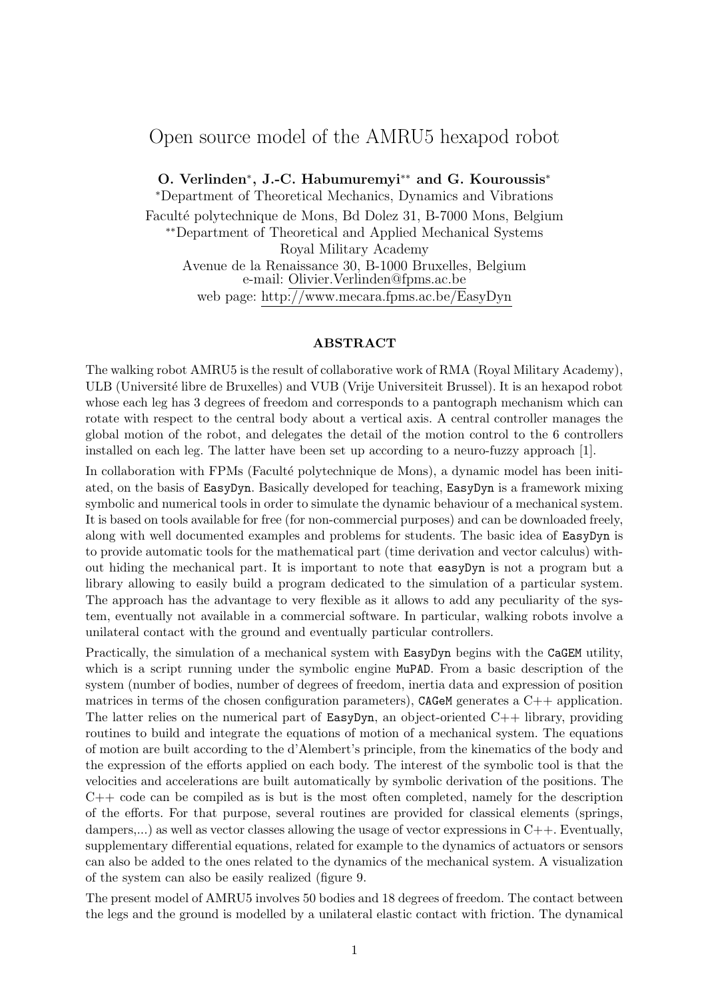## Open source model of the AMRU5 hexapod robot

O. Verlinden<sup>\*</sup>, J.-C. Habumuremyi<sup>\*\*</sup> and G. Kouroussis<sup>\*</sup> <sup>∗</sup>Department of Theoretical Mechanics, Dynamics and Vibrations Faculté polytechnique de Mons, Bd Dolez 31, B-7000 Mons, Belgium ∗∗Department of Theoretical and Applied Mechanical Systems Royal Military Academy Avenue de la Renaissance 30, B-1000 Bruxelles, Belgium e-mail: Olivier.Verlinden@fpms.ac.be web page: http://www.mecara.fpms.ac.be/EasyDyn

#### ABSTRACT

The walking robot AMRU5 is the result of collaborative work of RMA (Royal Military Academy), ULB (Université libre de Bruxelles) and VUB (Vrije Universiteit Brussel). It is an hexapod robot whose each leg has 3 degrees of freedom and corresponds to a pantograph mechanism which can rotate with respect to the central body about a vertical axis. A central controller manages the global motion of the robot, and delegates the detail of the motion control to the 6 controllers installed on each leg. The latter have been set up according to a neuro-fuzzy approach [1].

In collaboration with FPMs (Faculté polytechnique de Mons), a dynamic model has been initiated, on the basis of EasyDyn. Basically developed for teaching, EasyDyn is a framework mixing symbolic and numerical tools in order to simulate the dynamic behaviour of a mechanical system. It is based on tools available for free (for non-commercial purposes) and can be downloaded freely, along with well documented examples and problems for students. The basic idea of EasyDyn is to provide automatic tools for the mathematical part (time derivation and vector calculus) without hiding the mechanical part. It is important to note that easyDyn is not a program but a library allowing to easily build a program dedicated to the simulation of a particular system. The approach has the advantage to very flexible as it allows to add any peculiarity of the system, eventually not available in a commercial software. In particular, walking robots involve a unilateral contact with the ground and eventually particular controllers.

Practically, the simulation of a mechanical system with EasyDyn begins with the CaGEM utility, which is a script running under the symbolic engine MuPAD. From a basic description of the system (number of bodies, number of degrees of freedom, inertia data and expression of position matrices in terms of the chosen configuration parameters), CAGeM generates a  $C_{++}$  application. The latter relies on the numerical part of EasyDyn, an object-oriented  $C_{++}$  library, providing routines to build and integrate the equations of motion of a mechanical system. The equations of motion are built according to the d'Alembert's principle, from the kinematics of the body and the expression of the efforts applied on each body. The interest of the symbolic tool is that the velocities and accelerations are built automatically by symbolic derivation of the positions. The C++ code can be compiled as is but is the most often completed, namely for the description of the efforts. For that purpose, several routines are provided for classical elements (springs, dampers,...) as well as vector classes allowing the usage of vector expressions in C++. Eventually, supplementary differential equations, related for example to the dynamics of actuators or sensors can also be added to the ones related to the dynamics of the mechanical system. A visualization of the system can also be easily realized (figure 9.

The present model of AMRU5 involves 50 bodies and 18 degrees of freedom. The contact between the legs and the ground is modelled by a unilateral elastic contact with friction. The dynamical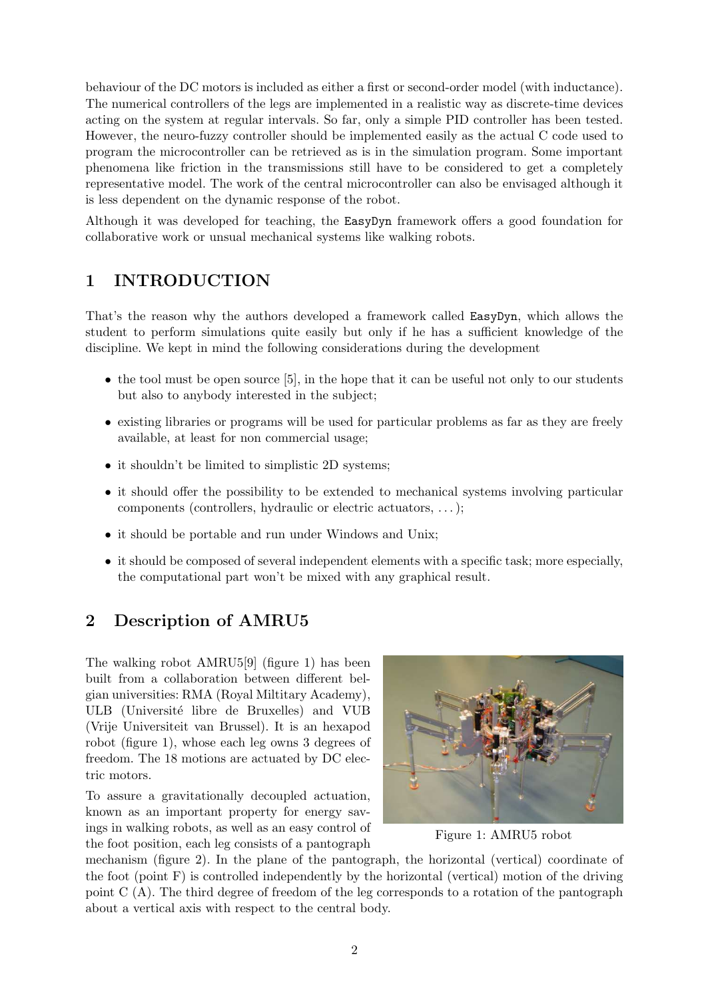behaviour of the DC motors is included as either a first or second-order model (with inductance). The numerical controllers of the legs are implemented in a realistic way as discrete-time devices acting on the system at regular intervals. So far, only a simple PID controller has been tested. However, the neuro-fuzzy controller should be implemented easily as the actual C code used to program the microcontroller can be retrieved as is in the simulation program. Some important phenomena like friction in the transmissions still have to be considered to get a completely representative model. The work of the central microcontroller can also be envisaged although it is less dependent on the dynamic response of the robot.

Although it was developed for teaching, the EasyDyn framework offers a good foundation for collaborative work or unsual mechanical systems like walking robots.

## 1 INTRODUCTION

That's the reason why the authors developed a framework called EasyDyn, which allows the student to perform simulations quite easily but only if he has a sufficient knowledge of the discipline. We kept in mind the following considerations during the development

- $\bullet$  the tool must be open source [5], in the hope that it can be useful not only to our students but also to anybody interested in the subject;
- existing libraries or programs will be used for particular problems as far as they are freely available, at least for non commercial usage;
- it shouldn't be limited to simplistic 2D systems;
- it should offer the possibility to be extended to mechanical systems involving particular components (controllers, hydraulic or electric actuators, . . .);
- it should be portable and run under Windows and Unix;
- it should be composed of several independent elements with a specific task; more especially, the computational part won't be mixed with any graphical result.

# 2 Description of AMRU5

The walking robot AMRU5[9] (figure 1) has been built from a collaboration between different belgian universities: RMA (Royal Miltitary Academy), ULB (Université libre de Bruxelles) and VUB (Vrije Universiteit van Brussel). It is an hexapod robot (figure 1), whose each leg owns 3 degrees of freedom. The 18 motions are actuated by DC electric motors.

To assure a gravitationally decoupled actuation, known as an important property for energy savings in walking robots, as well as an easy control of the foot position, each leg consists of a pantograph



Figure 1: AMRU5 robot

mechanism (figure 2). In the plane of the pantograph, the horizontal (vertical) coordinate of the foot (point F) is controlled independently by the horizontal (vertical) motion of the driving point C (A). The third degree of freedom of the leg corresponds to a rotation of the pantograph about a vertical axis with respect to the central body.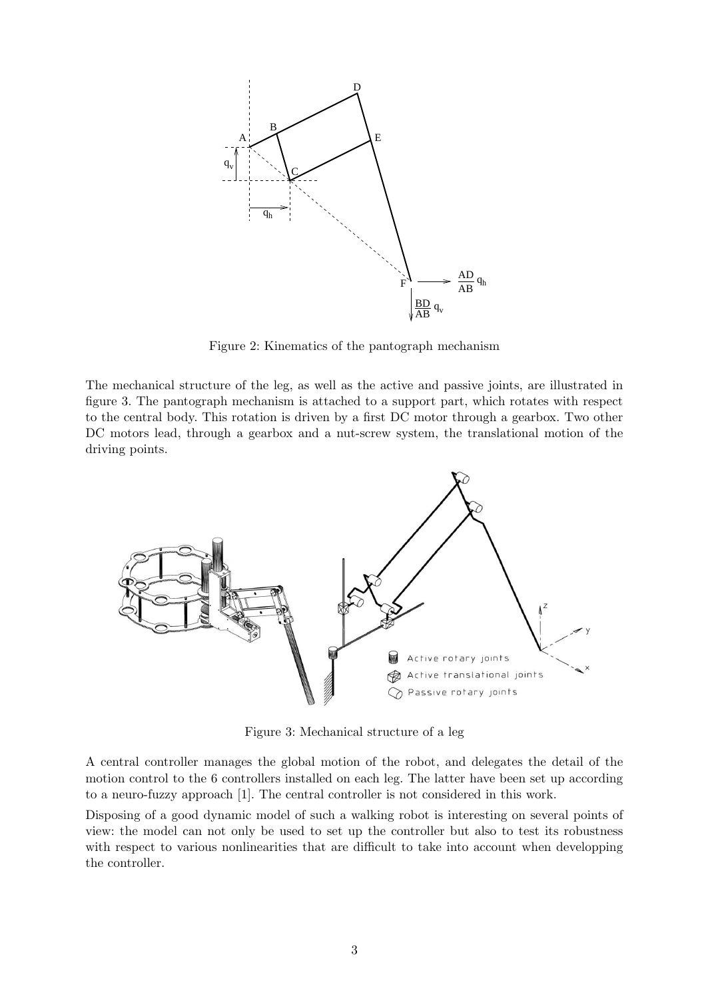

Figure 2: Kinematics of the pantograph mechanism

The mechanical structure of the leg, as well as the active and passive joints, are illustrated in figure 3. The pantograph mechanism is attached to a support part, which rotates with respect to the central body. This rotation is driven by a first DC motor through a gearbox. Two other DC motors lead, through a gearbox and a nut-screw system, the translational motion of the driving points.



Figure 3: Mechanical structure of a leg

A central controller manages the global motion of the robot, and delegates the detail of the motion control to the 6 controllers installed on each leg. The latter have been set up according to a neuro-fuzzy approach [1]. The central controller is not considered in this work.

Disposing of a good dynamic model of such a walking robot is interesting on several points of view: the model can not only be used to set up the controller but also to test its robustness with respect to various nonlinearities that are difficult to take into account when developping the controller.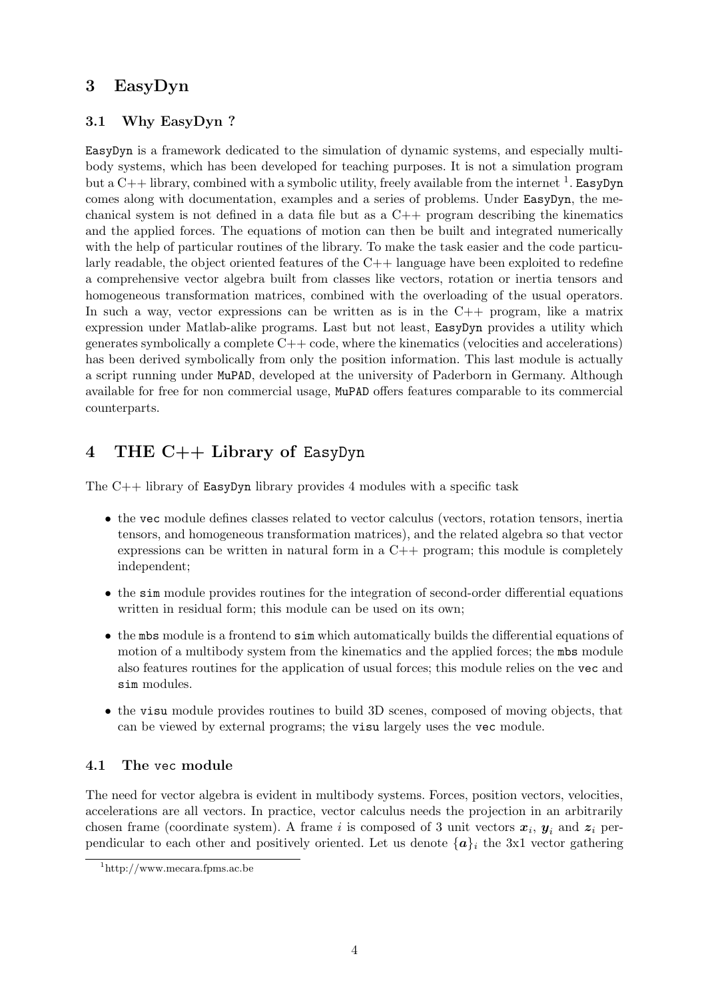### 3 EasyDyn

#### 3.1 Why EasyDyn ?

EasyDyn is a framework dedicated to the simulation of dynamic systems, and especially multibody systems, which has been developed for teaching purposes. It is not a simulation program but a  $C++$  library, combined with a symbolic utility, freely available from the internet <sup>1</sup>. EasyDyn comes along with documentation, examples and a series of problems. Under EasyDyn, the mechanical system is not defined in a data file but as a  $C++$  program describing the kinematics and the applied forces. The equations of motion can then be built and integrated numerically with the help of particular routines of the library. To make the task easier and the code particularly readable, the object oriented features of the  $C++$  language have been exploited to redefine a comprehensive vector algebra built from classes like vectors, rotation or inertia tensors and homogeneous transformation matrices, combined with the overloading of the usual operators. In such a way, vector expressions can be written as is in the  $C++$  program, like a matrix expression under Matlab-alike programs. Last but not least, EasyDyn provides a utility which generates symbolically a complete  $C++$  code, where the kinematics (velocities and accelerations) has been derived symbolically from only the position information. This last module is actually a script running under MuPAD, developed at the university of Paderborn in Germany. Although available for free for non commercial usage, MuPAD offers features comparable to its commercial counterparts.

# 4 THE C++ Library of EasyDyn

The C++ library of EasyDyn library provides 4 modules with a specific task

- the vec module defines classes related to vector calculus (vectors, rotation tensors, inertia tensors, and homogeneous transformation matrices), and the related algebra so that vector expressions can be written in natural form in a  $C++$  program; this module is completely independent;
- the sim module provides routines for the integration of second-order differential equations written in residual form; this module can be used on its own;
- the mbs module is a frontend to sim which automatically builds the differential equations of motion of a multibody system from the kinematics and the applied forces; the mbs module also features routines for the application of usual forces; this module relies on the vec and sim modules.
- the visu module provides routines to build 3D scenes, composed of moving objects, that can be viewed by external programs; the visu largely uses the vec module.

#### 4.1 The vec module

The need for vector algebra is evident in multibody systems. Forces, position vectors, velocities, accelerations are all vectors. In practice, vector calculus needs the projection in an arbitrarily chosen frame (coordinate system). A frame i is composed of 3 unit vectors  $x_i$ ,  $y_i$  and  $z_i$  perpendicular to each other and positively oriented. Let us denote  $\{a\}_i$  the 3x1 vector gathering

<sup>1</sup>http://www.mecara.fpms.ac.be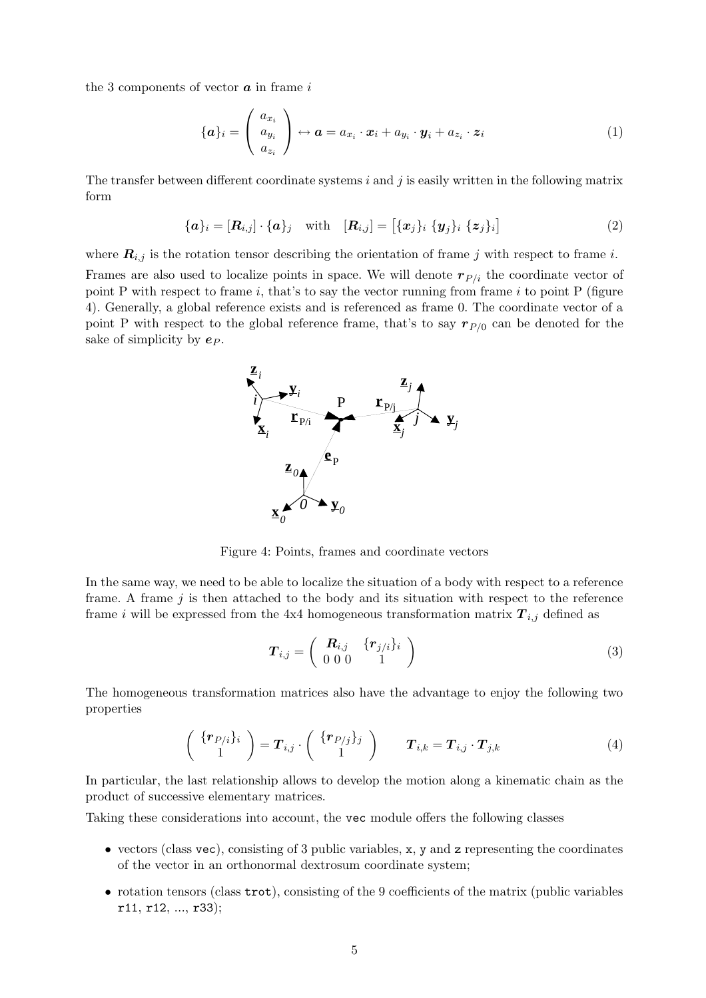the 3 components of vector  $\boldsymbol{a}$  in frame i

$$
\{\boldsymbol{a}\}_i = \begin{pmatrix} a_{x_i} \\ a_{y_i} \\ a_{z_i} \end{pmatrix} \leftrightarrow \boldsymbol{a} = a_{x_i} \cdot \boldsymbol{x}_i + a_{y_i} \cdot \boldsymbol{y}_i + a_{z_i} \cdot \boldsymbol{z}_i \tag{1}
$$

The transfer between different coordinate systems  $i$  and  $j$  is easily written in the following matrix form

$$
\{\boldsymbol{a}\}_i = [\boldsymbol{R}_{i,j}] \cdot \{\boldsymbol{a}\}_j \quad \text{with} \quad [\boldsymbol{R}_{i,j}] = [\{x_j\}_i \{y_j\}_i \{z_j\}_i]
$$
 (2)

where  $\mathbf{R}_{i,j}$  is the rotation tensor describing the orientation of frame j with respect to frame i.

Frames are also used to localize points in space. We will denote  $r_{P/i}$  the coordinate vector of point P with respect to frame  $i$ , that's to say the vector running from frame  $i$  to point P (figure 4). Generally, a global reference exists and is referenced as frame 0. The coordinate vector of a point P with respect to the global reference frame, that's to say  $r_{P/0}$  can be denoted for the sake of simplicity by  $e_P$ .



Figure 4: Points, frames and coordinate vectors

In the same way, we need to be able to localize the situation of a body with respect to a reference frame. A frame  $j$  is then attached to the body and its situation with respect to the reference frame i will be expressed from the 4x4 homogeneous transformation matrix  $\mathbf{T}_{i,j}$  defined as

$$
\boldsymbol{T}_{i,j} = \left(\begin{array}{cc} \boldsymbol{R}_{i,j} & \{\boldsymbol{r}_{j/i}\}_i \\ 0 & 0 & 0 \\ 0 & 0 & 1 \end{array}\right) \tag{3}
$$

The homogeneous transformation matrices also have the advantage to enjoy the following two properties

$$
\left(\begin{array}{c} {\{ \mathbf{r}_{P/i}\}_i} \\ 1 \end{array}\right) = \mathbf{T}_{i,j} \cdot \left(\begin{array}{c} {\{ \mathbf{r}_{P/j}\}_j} \\ 1 \end{array}\right) \qquad \mathbf{T}_{i,k} = \mathbf{T}_{i,j} \cdot \mathbf{T}_{j,k} \tag{4}
$$

In particular, the last relationship allows to develop the motion along a kinematic chain as the product of successive elementary matrices.

Taking these considerations into account, the vec module offers the following classes

- $\bullet$  vectors (class vec), consisting of 3 public variables, x, y and z representing the coordinates of the vector in an orthonormal dextrosum coordinate system;
- rotation tensors (class trot), consisting of the 9 coefficients of the matrix (public variables r11, r12, ..., r33);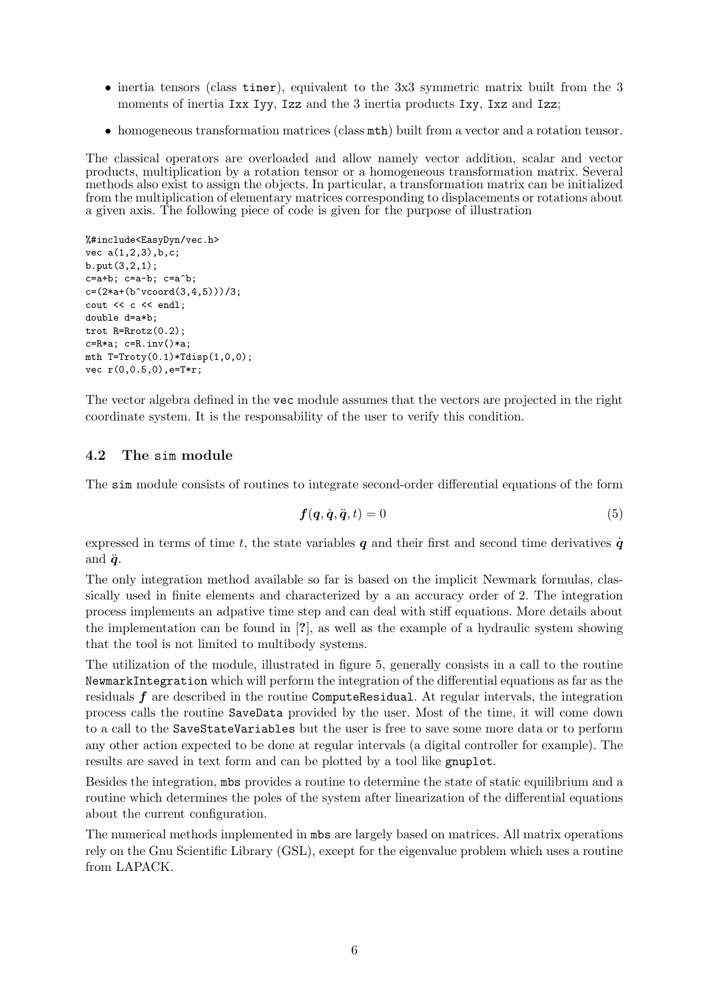- inertia tensors (class tiner), equivalent to the 3x3 symmetric matrix built from the 3 moments of inertia Ixx Iyy, Izz and the 3 inertia products Ixy, Ixz and Izz;
- homogeneous transformation matrices (class mth) built from a vector and a rotation tensor.

The classical operators are overloaded and allow namely vector addition, scalar and vector products, multiplication by a rotation tensor or a homogeneous transformation matrix. Several methods also exist to assign the objects. In particular, a transformation matrix can be initialized from the multiplication of elementary matrices corresponding to displacements or rotations about a given axis. The following piece of code is given for the purpose of illustration

```
%#include<EasyDyn/vec.h>
vec a(1,2,3),b,c;
b.put(3,2,1);
c=a+b; c=a-b; c=a^b;
c=(2*a+(b^vcoord(3,4,5)))/3;
cout << c << endl;
double d=a*b;
trot R=Rrotz(0.2);
c=R*a; c=R.inv()*a;
mth T=Troty(0.1)*Tdisp(1,0,0);vec r(0,0.5,0),e=T*r;
```
The vector algebra defined in the vec module assumes that the vectors are projected in the right coordinate system. It is the responsability of the user to verify this condition.

#### 4.2 The sim module

The sim module consists of routines to integrate second-order differential equations of the form

$$
f(q, \dot{q}, \ddot{q}, t) = 0 \tag{5}
$$

expressed in terms of time t, the state variables  $q$  and their first and second time derivatives  $\dot{q}$ and  $\ddot{q}$ .

The only integration method available so far is based on the implicit Newmark formulas, classically used in finite elements and characterized by a an accuracy order of 2. The integration process implements an adpative time step and can deal with stiff equations. More details about the implementation can be found in [?], as well as the example of a hydraulic system showing that the tool is not limited to multibody systems.

The utilization of the module, illustrated in figure 5, generally consists in a call to the routine NewmarkIntegration which will perform the integration of the differential equations as far as the residuals  $f$  are described in the routine ComputeResidual. At regular intervals, the integration process calls the routine SaveData provided by the user. Most of the time, it will come down to a call to the SaveStateVariables but the user is free to save some more data or to perform any other action expected to be done at regular intervals (a digital controller for example). The results are saved in text form and can be plotted by a tool like gnuplot.

Besides the integration, mbs provides a routine to determine the state of static equilibrium and a routine which determines the poles of the system after linearization of the differential equations about the current configuration.

The numerical methods implemented in mbs are largely based on matrices. All matrix operations rely on the Gnu Scientific Library (GSL), except for the eigenvalue problem which uses a routine from LAPACK.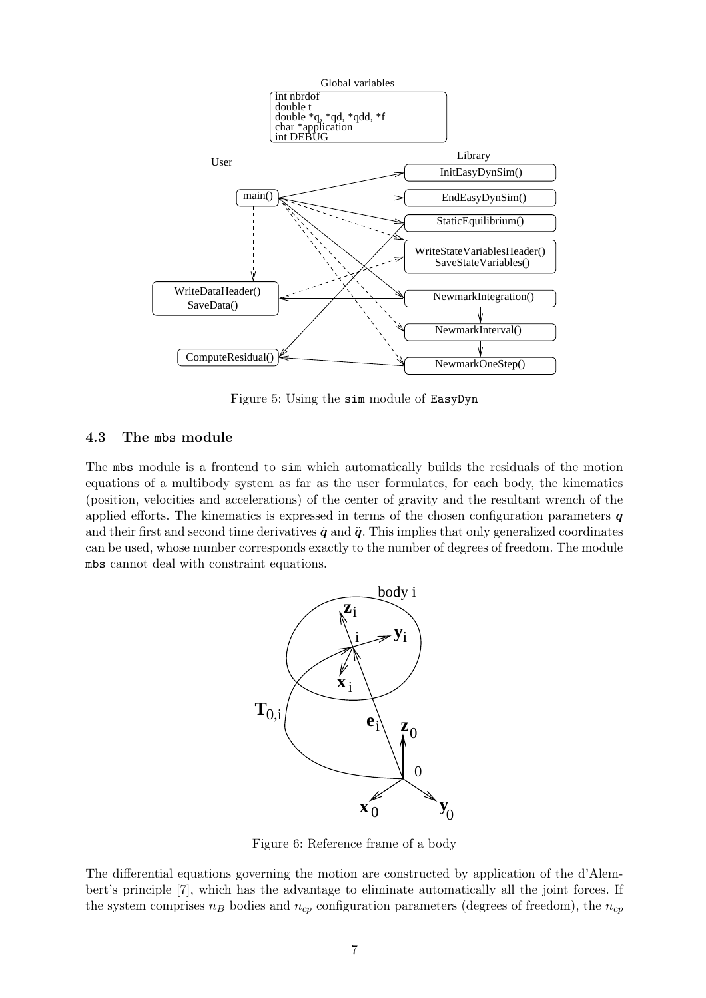

Figure 5: Using the sim module of EasyDyn

#### 4.3 The mbs module

The mbs module is a frontend to sim which automatically builds the residuals of the motion equations of a multibody system as far as the user formulates, for each body, the kinematics (position, velocities and accelerations) of the center of gravity and the resultant wrench of the applied efforts. The kinematics is expressed in terms of the chosen configuration parameters  $q$ and their first and second time derivatives  $\dot{q}$  and  $\ddot{q}$ . This implies that only generalized coordinates can be used, whose number corresponds exactly to the number of degrees of freedom. The module mbs cannot deal with constraint equations.



Figure 6: Reference frame of a body

The differential equations governing the motion are constructed by application of the d'Alembert's principle [7], which has the advantage to eliminate automatically all the joint forces. If the system comprises  $n_B$  bodies and  $n_{cp}$  configuration parameters (degrees of freedom), the  $n_{cp}$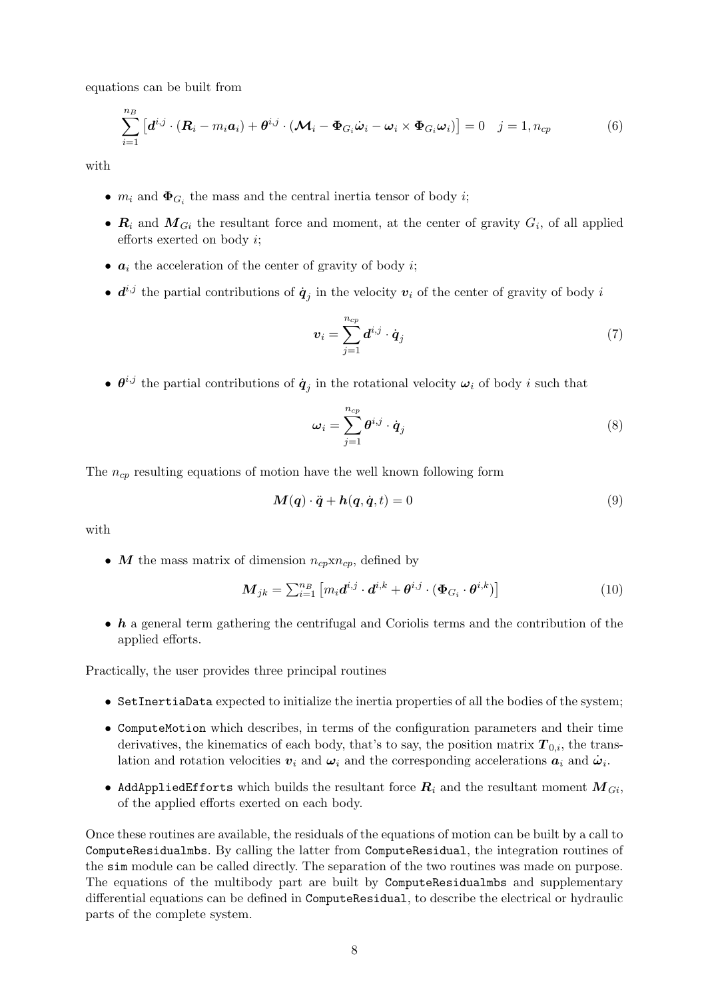equations can be built from

$$
\sum_{i=1}^{n_B} \left[ \boldsymbol{d}^{i,j} \cdot (\boldsymbol{R}_i - m_i \boldsymbol{a}_i) + \boldsymbol{\theta}^{i,j} \cdot (\boldsymbol{\mathcal{M}}_i - \boldsymbol{\Phi}_{G_i} \dot{\boldsymbol{\omega}}_i - \boldsymbol{\omega}_i \times \boldsymbol{\Phi}_{G_i} \boldsymbol{\omega}_i) \right] = 0 \quad j = 1, n_{cp}
$$
(6)

with

- $m_i$  and  $\Phi_{G_i}$  the mass and the central inertia tensor of body *i*;
- $R_i$  and  $M_{Gi}$  the resultant force and moment, at the center of gravity  $G_i$ , of all applied efforts exerted on body i;
- $a_i$  the acceleration of the center of gravity of body *i*;
- $d^{i,j}$  the partial contributions of  $\dot{q}_j$  in the velocity  $v_i$  of the center of gravity of body i

$$
\boldsymbol{v}_i = \sum_{j=1}^{n_{cp}} \boldsymbol{d}^{i,j} \cdot \dot{\boldsymbol{q}}_j \tag{7}
$$

•  $\theta^{i,j}$  the partial contributions of  $\dot{q}_j$  in the rotational velocity  $\omega_i$  of body i such that

$$
\omega_i = \sum_{j=1}^{n_{cp}} \theta^{i,j} \cdot \dot{q}_j \tag{8}
$$

The  $n_{cp}$  resulting equations of motion have the well known following form

$$
M(q) \cdot \ddot{q} + h(q, \dot{q}, t) = 0 \tag{9}
$$

with

• M the mass matrix of dimension  $n_{cp} \times n_{cp}$ , defined by

$$
\mathbf{M}_{jk} = \sum_{i=1}^{n_B} \left[ m_i \mathbf{d}^{i,j} \cdot \mathbf{d}^{i,k} + \boldsymbol{\theta}^{i,j} \cdot (\boldsymbol{\Phi}_{G_i} \cdot \boldsymbol{\theta}^{i,k}) \right]
$$
(10)

 $\bullet$  h a general term gathering the centrifugal and Coriolis terms and the contribution of the applied efforts.

Practically, the user provides three principal routines

- SetInertiaData expected to initialize the inertia properties of all the bodies of the system;
- ComputeMotion which describes, in terms of the configuration parameters and their time derivatives, the kinematics of each body, that's to say, the position matrix  $T_{0,i}$ , the translation and rotation velocities  $v_i$  and  $\omega_i$  and the corresponding accelerations  $a_i$  and  $\dot{\omega}_i$ .
- AddAppliedEfforts which builds the resultant force  $R_i$  and the resultant moment  $M_{Gi}$ , of the applied efforts exerted on each body.

Once these routines are available, the residuals of the equations of motion can be built by a call to ComputeResidualmbs. By calling the latter from ComputeResidual, the integration routines of the sim module can be called directly. The separation of the two routines was made on purpose. The equations of the multibody part are built by ComputeResidualmbs and supplementary differential equations can be defined in ComputeResidual, to describe the electrical or hydraulic parts of the complete system.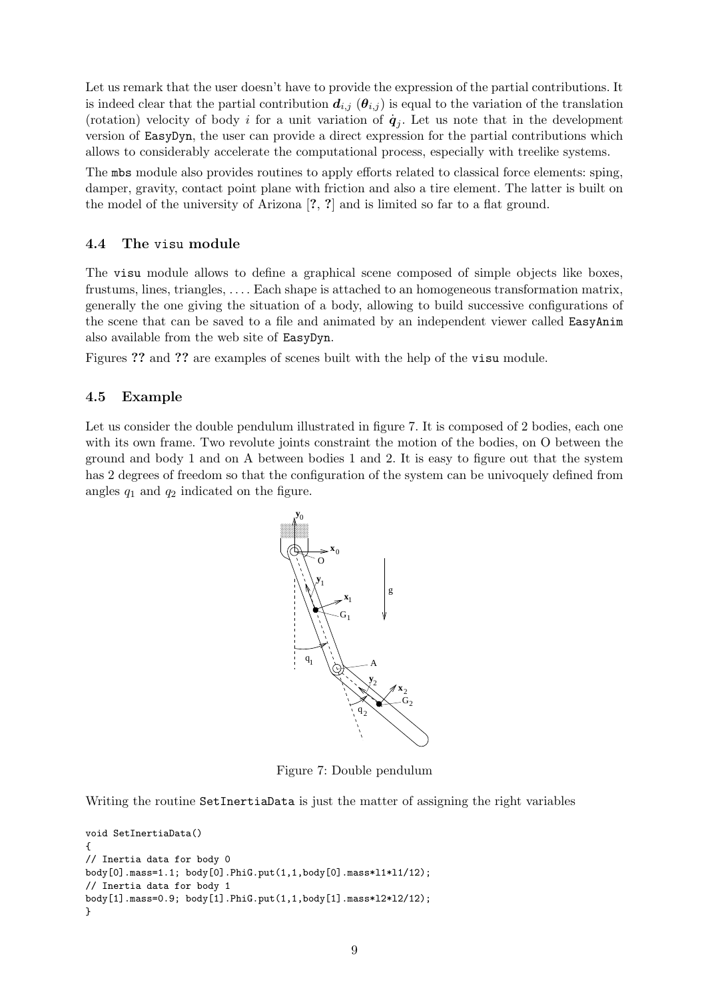Let us remark that the user doesn't have to provide the expression of the partial contributions. It is indeed clear that the partial contribution  $d_{i,j}$  ( $\theta_{i,j}$ ) is equal to the variation of the translation (rotation) velocity of body i for a unit variation of  $\dot{q}_j$ . Let us note that in the development version of EasyDyn, the user can provide a direct expression for the partial contributions which allows to considerably accelerate the computational process, especially with treelike systems.

The mbs module also provides routines to apply efforts related to classical force elements: sping, damper, gravity, contact point plane with friction and also a tire element. The latter is built on the model of the university of Arizona [?, ?] and is limited so far to a flat ground.

#### 4.4 The visu module

The visu module allows to define a graphical scene composed of simple objects like boxes, frustums, lines, triangles, . . . . Each shape is attached to an homogeneous transformation matrix, generally the one giving the situation of a body, allowing to build successive configurations of the scene that can be saved to a file and animated by an independent viewer called EasyAnim also available from the web site of EasyDyn.

Figures ?? and ?? are examples of scenes built with the help of the visu module.

#### 4.5 Example

Let us consider the double pendulum illustrated in figure 7. It is composed of 2 bodies, each one with its own frame. Two revolute joints constraint the motion of the bodies, on O between the ground and body 1 and on A between bodies 1 and 2. It is easy to figure out that the system has 2 degrees of freedom so that the configuration of the system can be univoquely defined from angles  $q_1$  and  $q_2$  indicated on the figure.



Figure 7: Double pendulum

Writing the routine SetInertiaData is just the matter of assigning the right variables

```
void SetInertiaData()
{
// Inertia data for body 0
body[0].mass=1.1; body[0].PhiG.put(1,1,body[0].mass*l1*l1/12);
// Inertia data for body 1
body[1].mass=0.9; body[1].PhiG.put(1,1,body[1].mass*l2*l2/12);
}
```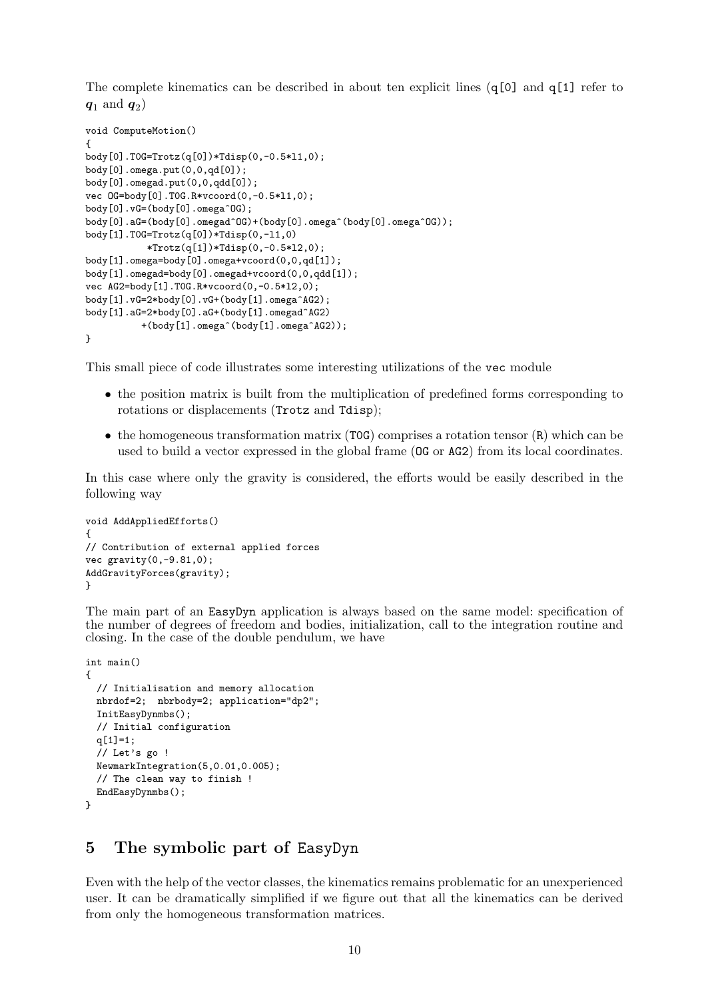The complete kinematics can be described in about ten explicit lines  $(q[0]$  and  $q[1]$  refer to  $\bm{q}_1$  and  $\bm{q}_2)$ 

```
void ComputeMotion()
{
body[0].T0G=Trotz(q[0])*Tdisp(0,-0.5*l1,0);
body[0].omega.put(0,0,qd[0]);
body[0].omegad.put(0,0,qdd[0]);
vec OG=body[0].T0G.R*vcoord(0,-0.5*l1,0);
body[0].vG=(body[0].omega^OG);
body[0].aG=(body[0].omegad^OG)+(body[0].omega^(body[0].omega^OG));
body[1].T0G=Trotz(q[0])*Tdisp(0,-l1,0)
           *Trotz(q[1])*Tdisp(0,-0.5*l2,0);
body[1].omega=body[0].omega+vcoord(0,0,qd[1]);
body[1].omegad=body[0].omegad+vcoord(0,0,qdd[1]);
vec AG2=body[1].T0G.R*vcoord(0,-0.5*l2,0);
body[1].vG=2*body[0].vG+(body[1].omega^AG2);
body[1].aG=2*body[0].aG+(body[1].omegad^AG2)
          +(body[1].omega^(body[1].omega^AG2));
}
```
This small piece of code illustrates some interesting utilizations of the vec module

- the position matrix is built from the multiplication of predefined forms corresponding to rotations or displacements (Trotz and Tdisp);
- the homogeneous transformation matrix (T0G) comprises a rotation tensor (R) which can be used to build a vector expressed in the global frame (OG or AG2) from its local coordinates.

In this case where only the gravity is considered, the efforts would be easily described in the following way

```
void AddAppliedEfforts()
{
// Contribution of external applied forces
vec gravity(0,-9.81,0);
AddGravityForces(gravity);
}
```
The main part of an EasyDyn application is always based on the same model: specification of the number of degrees of freedom and bodies, initialization, call to the integration routine and closing. In the case of the double pendulum, we have

```
int main()
{
 // Initialisation and memory allocation
 nbrdof=2; nbrbody=2; application="dp2";
  InitEasyDynmbs();
  // Initial configuration
 q[1]=1;// Let's go !
 NewmarkIntegration(5,0.01,0.005);
  // The clean way to finish !
  EndEasyDynmbs();
}
```
### 5 The symbolic part of EasyDyn

Even with the help of the vector classes, the kinematics remains problematic for an unexperienced user. It can be dramatically simplified if we figure out that all the kinematics can be derived from only the homogeneous transformation matrices.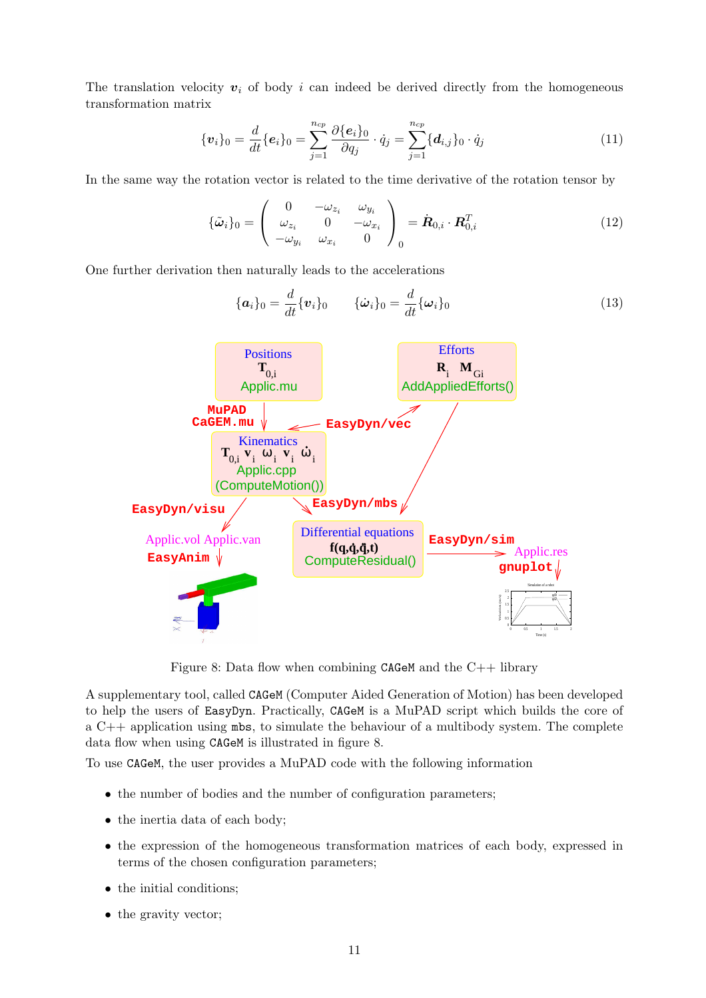The translation velocity  $v_i$  of body i can indeed be derived directly from the homogeneous transformation matrix

$$
\{\boldsymbol{v}_i\}_0 = \frac{d}{dt}\{\boldsymbol{e}_i\}_0 = \sum_{j=1}^{n_{cp}} \frac{\partial \{\boldsymbol{e}_i\}_0}{\partial q_j} \cdot \dot{q}_j = \sum_{j=1}^{n_{cp}} \{d_{i,j}\}_0 \cdot \dot{q}_j \tag{11}
$$

In the same way the rotation vector is related to the time derivative of the rotation tensor by

$$
\{\tilde{\boldsymbol{\omega}}_i\}_0 = \begin{pmatrix} 0 & -\omega_{z_i} & \omega_{y_i} \\ \omega_{z_i} & 0 & -\omega_{x_i} \\ -\omega_{y_i} & \omega_{x_i} & 0 \end{pmatrix}_{0} = \dot{\boldsymbol{R}}_{0,i} \cdot \boldsymbol{R}_{0,i}^T
$$
\n(12)

One further derivation then naturally leads to the accelerations

{ai}<sup>0</sup> = d dt{vi}<sup>0</sup> {ω˙ <sup>i</sup>}<sup>0</sup> <sup>=</sup> d dt{ωi}<sup>0</sup> (13) **f(q,q,q,t)** Differential equations ComputeResidual() **T**0,i **R**<sup>i</sup> **T**0,i **v** i **v** i ω i ω i 0.5 1.5 0 0.5 1 1.5 2 Velocities (m/s) Time (s) Simulation of a robot qd0 qd2 Applic.vol Applic.van **EasyDyn/sim** Applic.res **gnuplot EasyDyn/visu** Positions Applic.mu AddAppliedEfforts() Efforts **M**Gi **CaGEM.mu MuPAD EasyDyn/vec EasyDyn/mbs** Applic.cpp Kinematics (ComputeMotion()) **EasyAnim**

Figure 8: Data flow when combining CAGeM and the  $C_{++}$  library

A supplementary tool, called CAGeM (Computer Aided Generation of Motion) has been developed to help the users of EasyDyn. Practically, CAGeM is a MuPAD script which builds the core of a  $C_{++}$  application using  $mbs$ , to simulate the behaviour of a multibody system. The complete data flow when using CAGeM is illustrated in figure 8.

To use CAGeM, the user provides a MuPAD code with the following information

- the number of bodies and the number of configuration parameters;
- the inertia data of each body;
- the expression of the homogeneous transformation matrices of each body, expressed in terms of the chosen configuration parameters;
- the initial conditions;
- the gravity vector;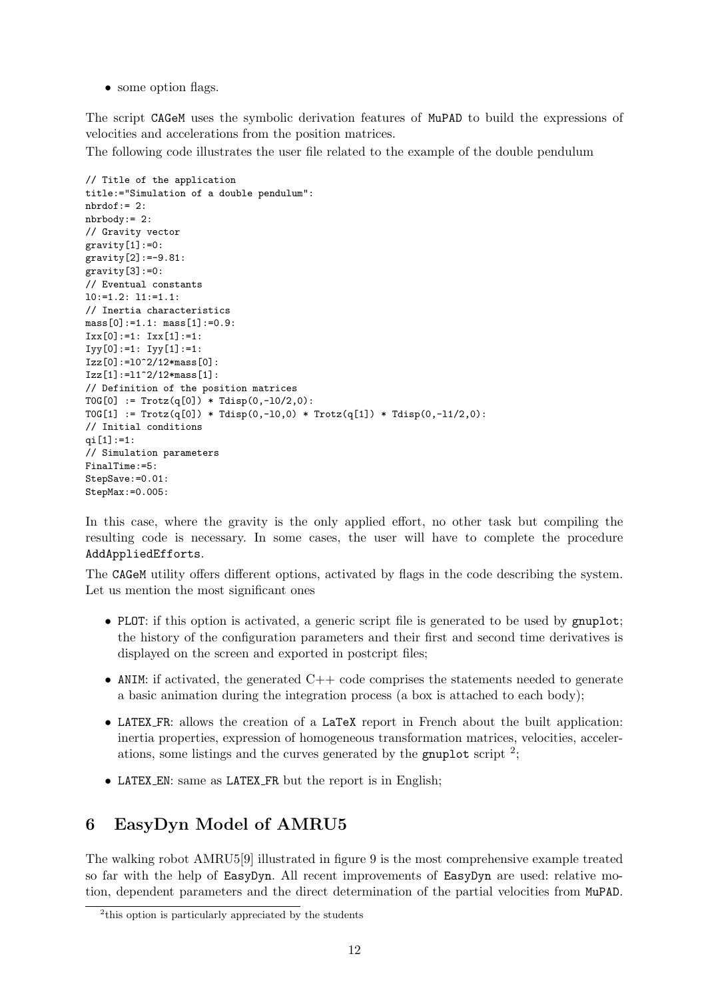• some option flags.

The script CAGeM uses the symbolic derivation features of MuPAD to build the expressions of velocities and accelerations from the position matrices.

The following code illustrates the user file related to the example of the double pendulum

```
// Title of the application
title:="Simulation of a double pendulum":
nbrdof := 2:
nbrbody:= 2:
// Gravity vector
gravity[1]:=0:
gravity[2] := -9.81:gravity[3]:=0:// Eventual constants
10:=1.2: 11:=1.1:// Inertia characteristics
mass[0]:=1.1: mass[1]:=0.9:IxX[0]:=1: IXX[1]:=1:Iyy[0]:=1: Iyy[1]:=1:Izz[0]:=l0^2/12*mass[0]:
Izz[1]:=11^2/12*mass[1]:// Definition of the position matrices
T0G[0] := Trotz(q[0]) * Tdisp(0, -10/2, 0):T0G[1] := Trotz(q[0]) * Tdisp(0, -10, 0) * Trotz(q[1]) * Tdisp(0, -11/2, 0):// Initial conditions
qi[1]:=1:
// Simulation parameters
FinalTime:=5:
StepSave:=0.01:
StepMax:=0.005:
```
In this case, where the gravity is the only applied effort, no other task but compiling the resulting code is necessary. In some cases, the user will have to complete the procedure AddAppliedEfforts.

The CAGeM utility offers different options, activated by flags in the code describing the system. Let us mention the most significant ones

- PLOT: if this option is activated, a generic script file is generated to be used by gnuplot; the history of the configuration parameters and their first and second time derivatives is displayed on the screen and exported in postcript files;
- ANIM: if activated, the generated  $C++$  code comprises the statements needed to generate a basic animation during the integration process (a box is attached to each body);
- LATEX FR: allows the creation of a LaTeX report in French about the built application: inertia properties, expression of homogeneous transformation matrices, velocities, accelerations, some listings and the curves generated by the gnuplot script  $2$ ;
- LATEX EN: same as LATEX FR but the report is in English;

## 6 EasyDyn Model of AMRU5

The walking robot AMRU5[9] illustrated in figure 9 is the most comprehensive example treated so far with the help of EasyDyn. All recent improvements of EasyDyn are used: relative motion, dependent parameters and the direct determination of the partial velocities from MuPAD.

<sup>&</sup>lt;sup>2</sup>this option is particularly appreciated by the students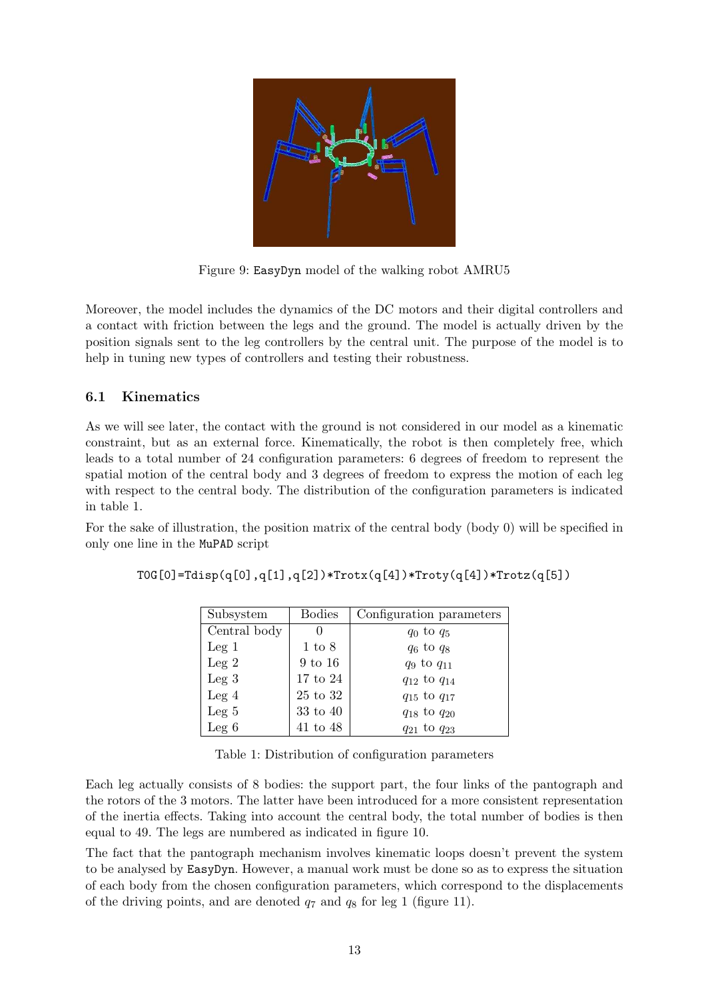

Figure 9: EasyDyn model of the walking robot AMRU5

Moreover, the model includes the dynamics of the DC motors and their digital controllers and a contact with friction between the legs and the ground. The model is actually driven by the position signals sent to the leg controllers by the central unit. The purpose of the model is to help in tuning new types of controllers and testing their robustness.

#### 6.1 Kinematics

As we will see later, the contact with the ground is not considered in our model as a kinematic constraint, but as an external force. Kinematically, the robot is then completely free, which leads to a total number of 24 configuration parameters: 6 degrees of freedom to represent the spatial motion of the central body and 3 degrees of freedom to express the motion of each leg with respect to the central body. The distribution of the configuration parameters is indicated in table 1.

For the sake of illustration, the position matrix of the central body (body 0) will be specified in only one line in the MuPAD script

|  |  |  | $\texttt{TOG[0]=Tdisp(q[0],q[1],q[2])*Trotx(q[4])*Troty(q[4])*Trotz(q[5])}$ |
|--|--|--|-----------------------------------------------------------------------------|
|--|--|--|-----------------------------------------------------------------------------|

| Subsystem    | <b>Bodies</b>     | Configuration parameters |
|--------------|-------------------|--------------------------|
| Central body |                   | $q_0$ to $q_5$           |
| $Leg\ 1$     | $1 \text{ to } 8$ | $q_6$ to $q_8$           |
| Leg 2        | $9$ to $16$       | $q_9$ to $q_{11}$        |
| $Leg\,3$     | $17$ to $24\,$    | $q_{12}$ to $q_{14}$     |
| $Leg\ 4$     | $25$ to $32$      | $q_{15}$ to $q_{17}$     |
| $Leg\ 5$     | 33 to 40          | $q_{18}$ to $q_{20}$     |
| Leg $6$      | $41$ to $48$      | $q_{21}$ to $q_{23}$     |

Table 1: Distribution of configuration parameters

Each leg actually consists of 8 bodies: the support part, the four links of the pantograph and the rotors of the 3 motors. The latter have been introduced for a more consistent representation of the inertia effects. Taking into account the central body, the total number of bodies is then equal to 49. The legs are numbered as indicated in figure 10.

The fact that the pantograph mechanism involves kinematic loops doesn't prevent the system to be analysed by EasyDyn. However, a manual work must be done so as to express the situation of each body from the chosen configuration parameters, which correspond to the displacements of the driving points, and are denoted  $q_7$  and  $q_8$  for leg 1 (figure 11).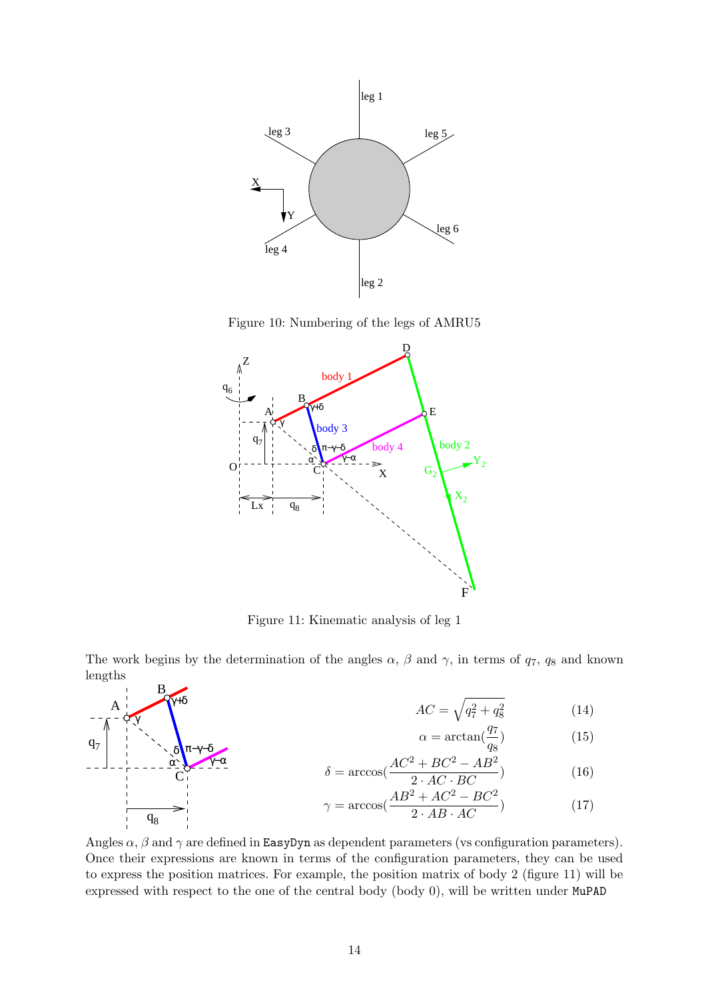

Figure 10: Numbering of the legs of AMRU5



Figure 11: Kinematic analysis of leg 1

The work begins by the determination of the angles  $\alpha$ ,  $\beta$  and  $\gamma$ , in terms of  $q_7$ ,  $q_8$  and known lengths B

 $q_7$ 

A

γ

 $\mathbf{q}_8$ 

α δ

 $\mathcal{C}_{0}^{(n)}$ 

γ−α

π−γ−δ

γ+δ

$$
AC = \sqrt{q_7^2 + q_8^2} \tag{14}
$$

$$
\alpha = \arctan(\frac{q_7}{q_8})\tag{15}
$$

$$
\delta = \arccos(\frac{AC^2 + BC^2 - AB^2}{2 \cdot AC \cdot BC})
$$
\n(16)

$$
\gamma = \arccos\left(\frac{AB^2 + AC^2 - BC^2}{2 \cdot AB \cdot AC}\right) \tag{17}
$$

Angles  $\alpha$ ,  $\beta$  and  $\gamma$  are defined in EasyDyn as dependent parameters (vs configuration parameters). Once their expressions are known in terms of the configuration parameters, they can be used to express the position matrices. For example, the position matrix of body 2 (figure 11) will be expressed with respect to the one of the central body (body 0), will be written under MuPAD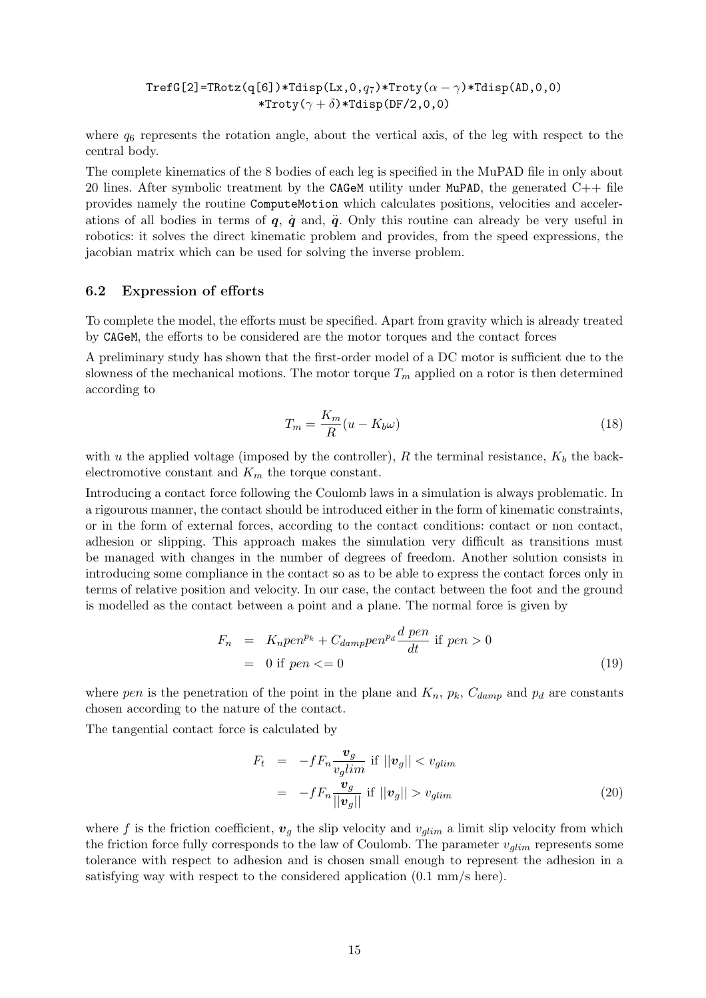TrefG[2]=TRotz(q[6])\*Tdisp(Lx,0, $q_7$ )\*Troty( $\alpha - \gamma$ )\*Tdisp(AD,0,0) \*Troty( $\gamma + \delta$ )\*Tdisp(DF/2,0,0)

where  $q_6$  represents the rotation angle, about the vertical axis, of the leg with respect to the central body.

The complete kinematics of the 8 bodies of each leg is specified in the MuPAD file in only about 20 lines. After symbolic treatment by the CAGeM utility under MuPAD, the generated  $C++$  file provides namely the routine ComputeMotion which calculates positions, velocities and accelerations of all bodies in terms of  $q$ ,  $\dot{q}$  and,  $\ddot{q}$ . Only this routine can already be very useful in robotics: it solves the direct kinematic problem and provides, from the speed expressions, the jacobian matrix which can be used for solving the inverse problem.

#### 6.2 Expression of efforts

To complete the model, the efforts must be specified. Apart from gravity which is already treated by CAGeM, the efforts to be considered are the motor torques and the contact forces

A preliminary study has shown that the first-order model of a DC motor is sufficient due to the slowness of the mechanical motions. The motor torque  $T_m$  applied on a rotor is then determined according to

$$
T_m = \frac{K_m}{R}(u - K_b \omega)
$$
\n(18)

with u the applied voltage (imposed by the controller), R the terminal resistance,  $K_b$  the backelectromotive constant and  $K_m$  the torque constant.

Introducing a contact force following the Coulomb laws in a simulation is always problematic. In a rigourous manner, the contact should be introduced either in the form of kinematic constraints, or in the form of external forces, according to the contact conditions: contact or non contact, adhesion or slipping. This approach makes the simulation very difficult as transitions must be managed with changes in the number of degrees of freedom. Another solution consists in introducing some compliance in the contact so as to be able to express the contact forces only in terms of relative position and velocity. In our case, the contact between the foot and the ground is modelled as the contact between a point and a plane. The normal force is given by

$$
F_n = K_n pen^{p_k} + C_{damp} pen^{p_d} \frac{d pen}{dt} \text{ if } pen > 0
$$
  
= 0 if pen  $\leq 0$  (19)

where pen is the penetration of the point in the plane and  $K_n$ ,  $p_k$ ,  $C_{damp}$  and  $p_d$  are constants chosen according to the nature of the contact.

The tangential contact force is calculated by

$$
F_t = -fF_n \frac{\mathbf{v}_g}{v_g \, \text{lim}} \text{ if } ||\mathbf{v}_g|| < v_{g \, \text{lim}}
$$
\n
$$
= -fF_n \frac{\mathbf{v}_g}{||\mathbf{v}_g||} \text{ if } ||\mathbf{v}_g|| > v_{g \, \text{lim}} \tag{20}
$$

where f is the friction coefficient,  $v<sub>g</sub>$  the slip velocity and  $v<sub>glim</sub>$  a limit slip velocity from which the friction force fully corresponds to the law of Coulomb. The parameter  $v_{\textit{dim}}$  represents some tolerance with respect to adhesion and is chosen small enough to represent the adhesion in a satisfying way with respect to the considered application (0.1 mm/s here).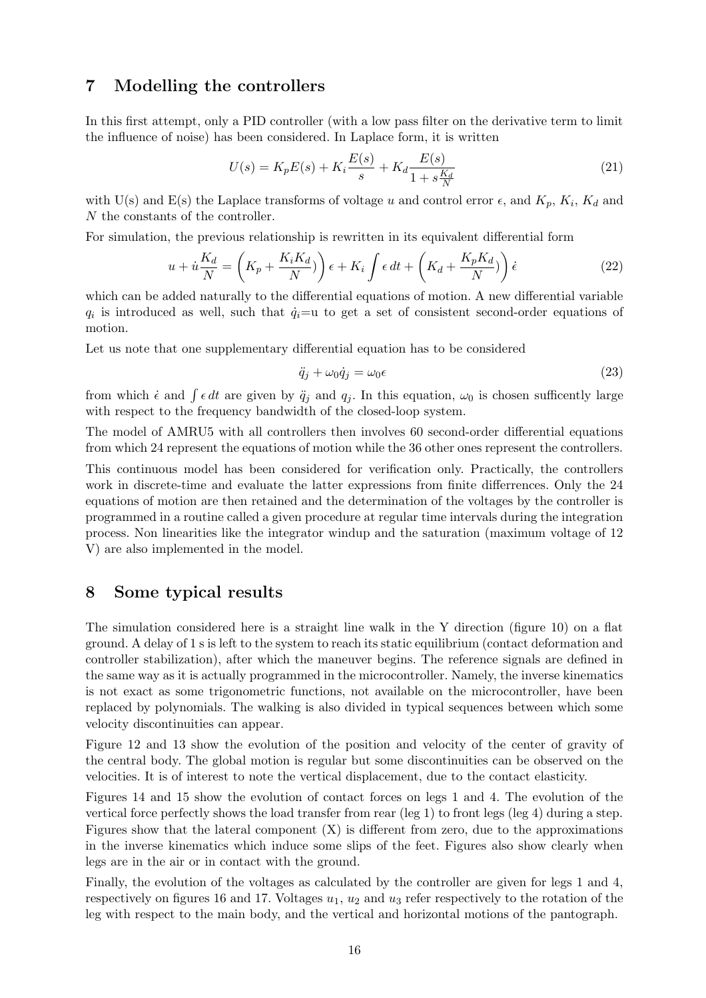#### 7 Modelling the controllers

In this first attempt, only a PID controller (with a low pass filter on the derivative term to limit the influence of noise) has been considered. In Laplace form, it is written

$$
U(s) = K_p E(s) + K_i \frac{E(s)}{s} + K_d \frac{E(s)}{1 + s\frac{K_d}{N}}
$$
\n(21)

with U(s) and E(s) the Laplace transforms of voltage u and control error  $\epsilon$ , and  $K_p$ ,  $K_i$ ,  $K_d$  and N the constants of the controller.

For simulation, the previous relationship is rewritten in its equivalent differential form

$$
u + \dot{u}\frac{K_d}{N} = \left(K_p + \frac{K_i K_d}{N}\right)\epsilon + K_i \int \epsilon \, dt + \left(K_d + \frac{K_p K_d}{N}\right)\dot{\epsilon}
$$
\n(22)

which can be added naturally to the differential equations of motion. A new differential variable  $q_i$  is introduced as well, such that  $\dot{q}_i=$ u to get a set of consistent second-order equations of motion.

Let us note that one supplementary differential equation has to be considered

$$
\ddot{q}_j + \omega_0 \dot{q}_j = \omega_0 \epsilon \tag{23}
$$

from which  $\dot{\epsilon}$  and  $\int \epsilon dt$  are given by  $\ddot{q}_j$  and  $q_j$ . In this equation,  $\omega_0$  is chosen sufficently large with respect to the frequency bandwidth of the closed-loop system.

The model of AMRU5 with all controllers then involves 60 second-order differential equations from which 24 represent the equations of motion while the 36 other ones represent the controllers.

This continuous model has been considered for verification only. Practically, the controllers work in discrete-time and evaluate the latter expressions from finite differrences. Only the 24 equations of motion are then retained and the determination of the voltages by the controller is programmed in a routine called a given procedure at regular time intervals during the integration process. Non linearities like the integrator windup and the saturation (maximum voltage of 12 V) are also implemented in the model.

#### 8 Some typical results

The simulation considered here is a straight line walk in the Y direction (figure 10) on a flat ground. A delay of 1 s is left to the system to reach its static equilibrium (contact deformation and controller stabilization), after which the maneuver begins. The reference signals are defined in the same way as it is actually programmed in the microcontroller. Namely, the inverse kinematics is not exact as some trigonometric functions, not available on the microcontroller, have been replaced by polynomials. The walking is also divided in typical sequences between which some velocity discontinuities can appear.

Figure 12 and 13 show the evolution of the position and velocity of the center of gravity of the central body. The global motion is regular but some discontinuities can be observed on the velocities. It is of interest to note the vertical displacement, due to the contact elasticity.

Figures 14 and 15 show the evolution of contact forces on legs 1 and 4. The evolution of the vertical force perfectly shows the load transfer from rear (leg 1) to front legs (leg 4) during a step. Figures show that the lateral component  $(X)$  is different from zero, due to the approximations in the inverse kinematics which induce some slips of the feet. Figures also show clearly when legs are in the air or in contact with the ground.

Finally, the evolution of the voltages as calculated by the controller are given for legs 1 and 4, respectively on figures 16 and 17. Voltages  $u_1$ ,  $u_2$  and  $u_3$  refer respectively to the rotation of the leg with respect to the main body, and the vertical and horizontal motions of the pantograph.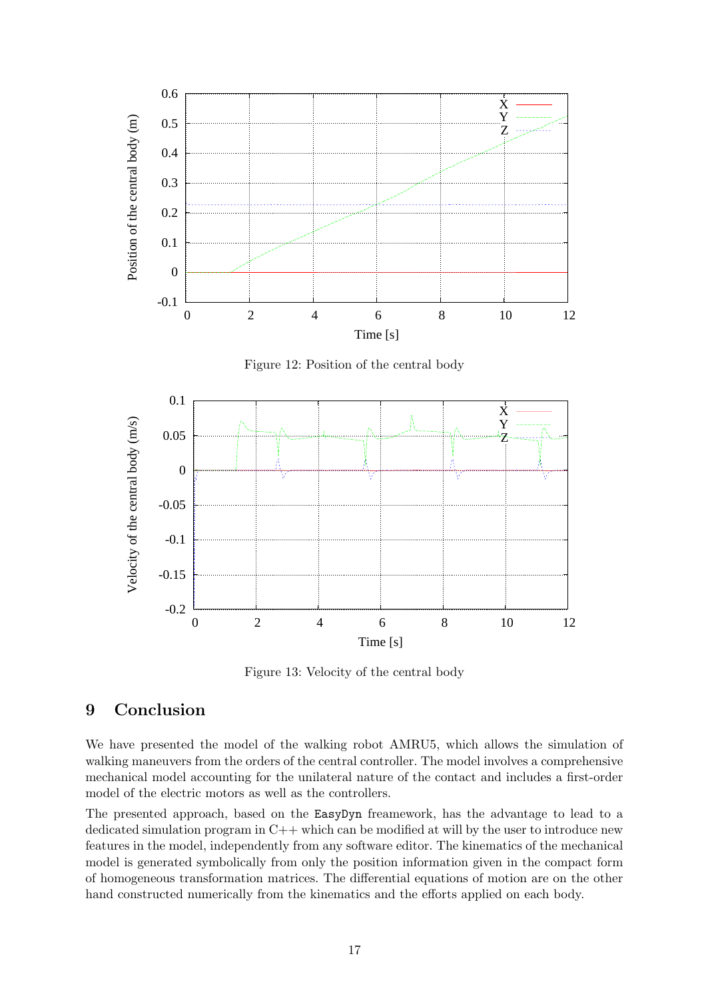

Figure 12: Position of the central body



Figure 13: Velocity of the central body

### 9 Conclusion

We have presented the model of the walking robot AMRU5, which allows the simulation of walking maneuvers from the orders of the central controller. The model involves a comprehensive mechanical model accounting for the unilateral nature of the contact and includes a first-order model of the electric motors as well as the controllers.

The presented approach, based on the EasyDyn freamework, has the advantage to lead to a dedicated simulation program in C++ which can be modified at will by the user to introduce new features in the model, independently from any software editor. The kinematics of the mechanical model is generated symbolically from only the position information given in the compact form of homogeneous transformation matrices. The differential equations of motion are on the other hand constructed numerically from the kinematics and the efforts applied on each body.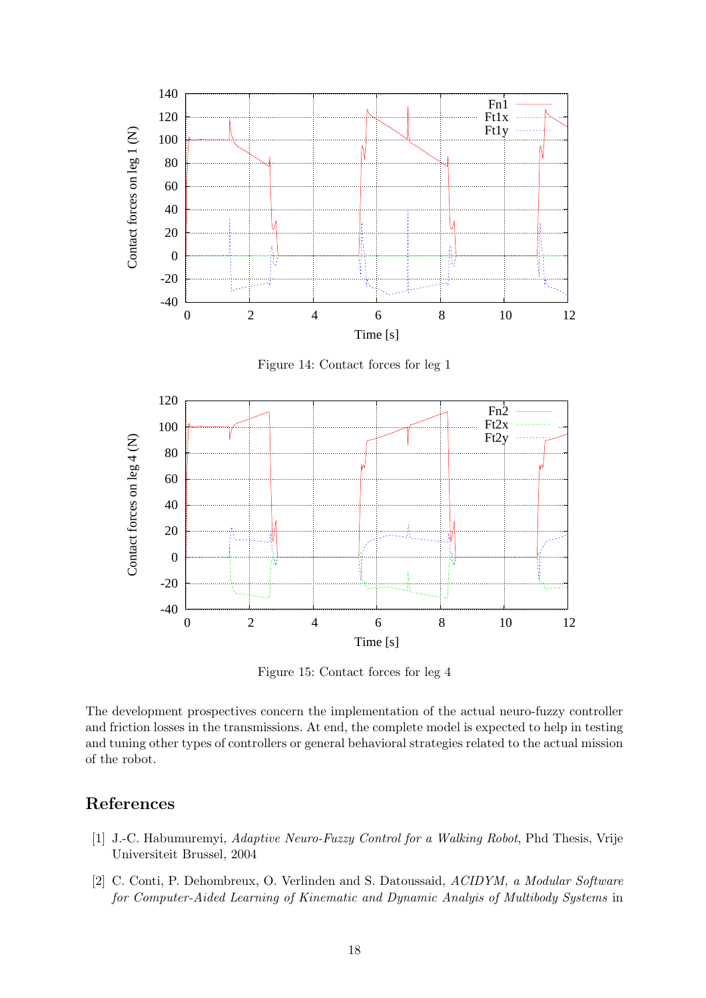

Figure 15: Contact forces for leg 4

The development prospectives concern the implementation of the actual neuro-fuzzy controller and friction losses in the transmissions. At end, the complete model is expected to help in testing and tuning other types of controllers or general behavioral strategies related to the actual mission of the robot.

### References

- [1] J.-C. Habumuremyi, Adaptive Neuro-Fuzzy Control for a Walking Robot, Phd Thesis, Vrije Universiteit Brussel, 2004
- [2] C. Conti, P. Dehombreux, O. Verlinden and S. Datoussaid, ACIDYM, a Modular Software for Computer-Aided Learning of Kinematic and Dynamic Analyis of Multibody Systems in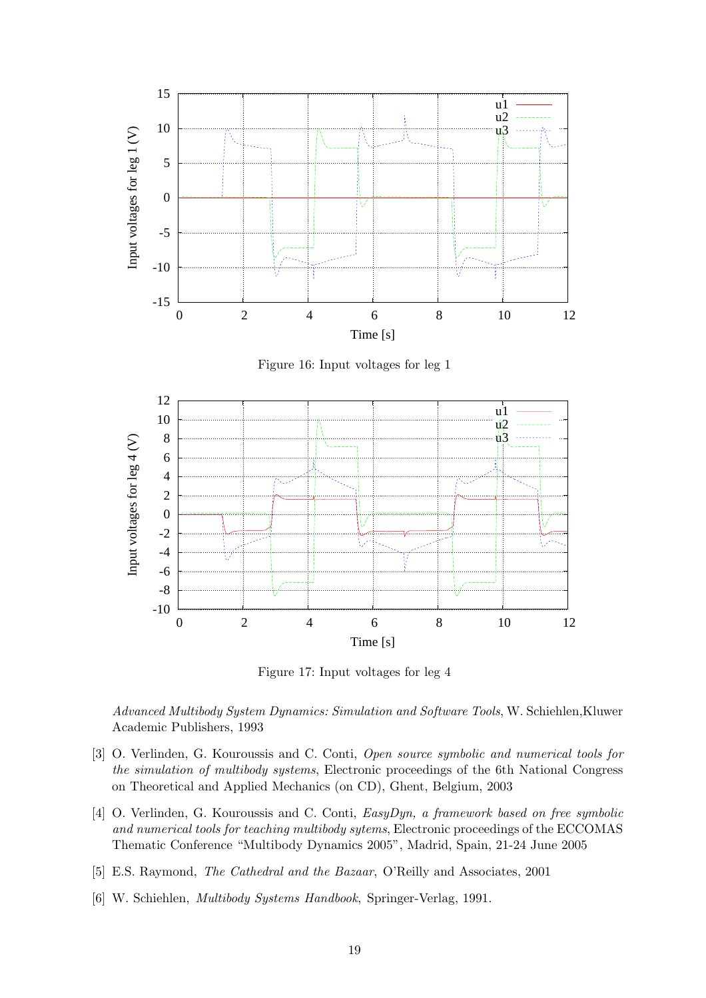

Figure 16: Input voltages for leg 1



Figure 17: Input voltages for leg 4

Advanced Multibody System Dynamics: Simulation and Software Tools, W. Schiehlen,Kluwer Academic Publishers, 1993

- [3] O. Verlinden, G. Kouroussis and C. Conti, Open source symbolic and numerical tools for the simulation of multibody systems, Electronic proceedings of the 6th National Congress on Theoretical and Applied Mechanics (on CD), Ghent, Belgium, 2003
- [4] O. Verlinden, G. Kouroussis and C. Conti, EasyDyn, a framework based on free symbolic and numerical tools for teaching multibody sytems, Electronic proceedings of the ECCOMAS Thematic Conference "Multibody Dynamics 2005", Madrid, Spain, 21-24 June 2005
- [5] E.S. Raymond, The Cathedral and the Bazaar, O'Reilly and Associates, 2001
- [6] W. Schiehlen, Multibody Systems Handbook, Springer-Verlag, 1991.